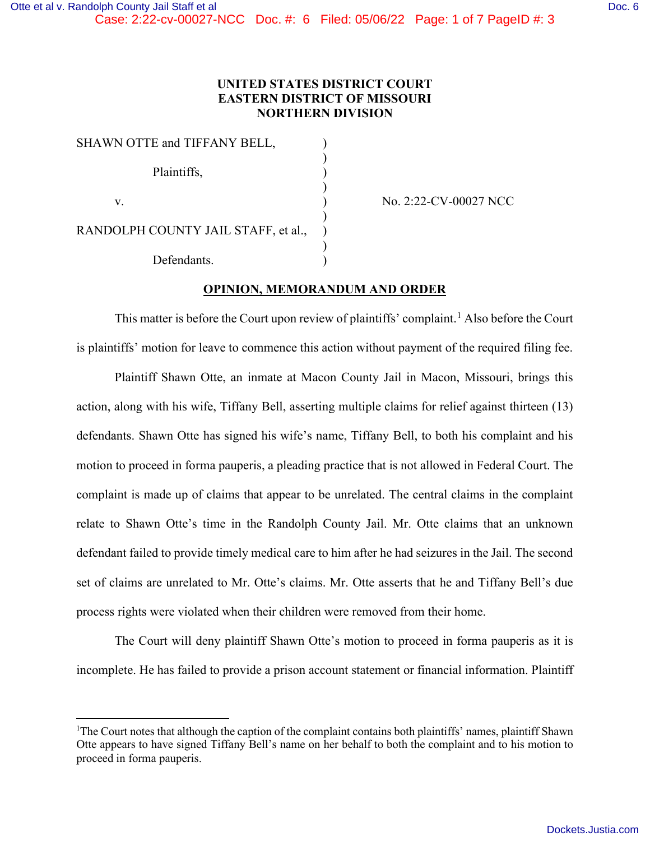## **UNITED STATES DISTRICT COURT EASTERN DISTRICT OF MISSOURI NORTHERN DIVISION**

| SHAWN OTTE and TIFFANY BELL,        |  |
|-------------------------------------|--|
| Plaintiffs,                         |  |
| V.                                  |  |
| RANDOLPH COUNTY JAIL STAFF, et al., |  |
| Defendants.                         |  |

No. 2:22-CV-00027 NCC

## **OPINION, MEMORANDUM AND ORDER**

This matter is before the Court upon review of plaintiffs' complaint.<sup>[1](#page-0-0)</sup> Also before the Court is plaintiffs' motion for leave to commence this action without payment of the required filing fee.

Plaintiff Shawn Otte, an inmate at Macon County Jail in Macon, Missouri, brings this action, along with his wife, Tiffany Bell, asserting multiple claims for relief against thirteen (13) defendants. Shawn Otte has signed his wife's name, Tiffany Bell, to both his complaint and his motion to proceed in forma pauperis, a pleading practice that is not allowed in Federal Court. The complaint is made up of claims that appear to be unrelated. The central claims in the complaint relate to Shawn Otte's time in the Randolph County Jail. Mr. Otte claims that an unknown defendant failed to provide timely medical care to him after he had seizures in the Jail. The second set of claims are unrelated to Mr. Otte's claims. Mr. Otte asserts that he and Tiffany Bell's due process rights were violated when their children were removed from their home.

The Court will deny plaintiff Shawn Otte's motion to proceed in forma pauperis as it is incomplete. He has failed to provide a prison account statement or financial information. Plaintiff

<span id="page-0-0"></span><sup>&</sup>lt;sup>1</sup>The Court notes that although the caption of the complaint contains both plaintiffs' names, plaintiff Shawn Otte appears to have signed Tiffany Bell's name on her behalf to both the complaint and to his motion to proceed in forma pauperis.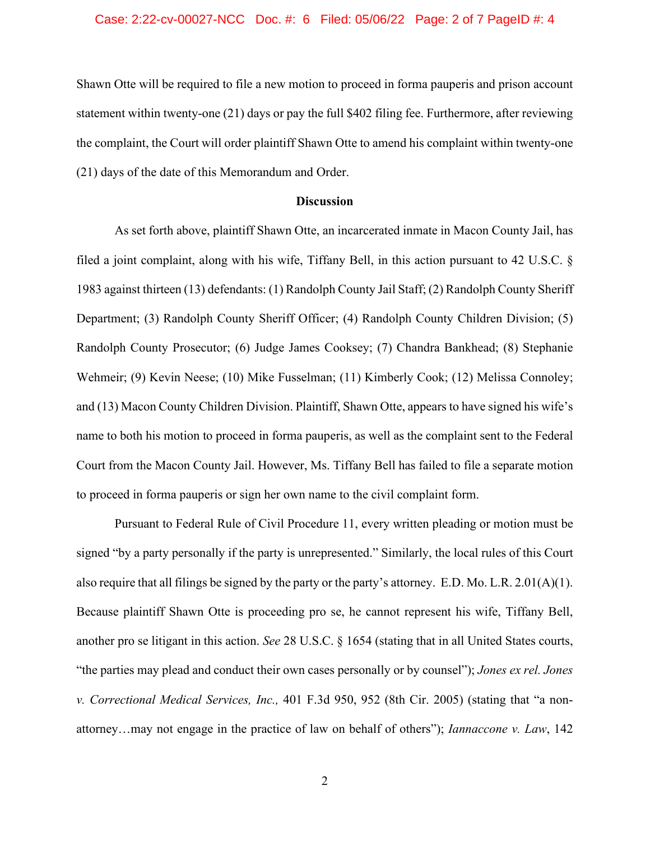#### Case: 2:22-cv-00027-NCC Doc. #: 6 Filed: 05/06/22 Page: 2 of 7 PageID #: 4

Shawn Otte will be required to file a new motion to proceed in forma pauperis and prison account statement within twenty-one (21) days or pay the full \$402 filing fee. Furthermore, after reviewing the complaint, the Court will order plaintiff Shawn Otte to amend his complaint within twenty-one (21) days of the date of this Memorandum and Order.

#### **Discussion**

As set forth above, plaintiff Shawn Otte, an incarcerated inmate in Macon County Jail, has filed a joint complaint, along with his wife, Tiffany Bell, in this action pursuant to 42 U.S.C. § 1983 against thirteen (13) defendants: (1) Randolph County Jail Staff; (2) Randolph County Sheriff Department; (3) Randolph County Sheriff Officer; (4) Randolph County Children Division; (5) Randolph County Prosecutor; (6) Judge James Cooksey; (7) Chandra Bankhead; (8) Stephanie Wehmeir; (9) Kevin Neese; (10) Mike Fusselman; (11) Kimberly Cook; (12) Melissa Connoley; and (13) Macon County Children Division. Plaintiff, Shawn Otte, appears to have signed his wife's name to both his motion to proceed in forma pauperis, as well as the complaint sent to the Federal Court from the Macon County Jail. However, Ms. Tiffany Bell has failed to file a separate motion to proceed in forma pauperis or sign her own name to the civil complaint form.

Pursuant to Federal Rule of Civil Procedure 11, every written pleading or motion must be signed "by a party personally if the party is unrepresented." Similarly, the local rules of this Court also require that all filings be signed by the party or the party's attorney. E.D. Mo. L.R. 2.01(A)(1). Because plaintiff Shawn Otte is proceeding pro se, he cannot represent his wife, Tiffany Bell, another pro se litigant in this action. *See* 28 U.S.C. § 1654 (stating that in all United States courts, "the parties may plead and conduct their own cases personally or by counsel"); *Jones ex rel. Jones v. Correctional Medical Services, Inc.,* 401 F.3d 950, 952 (8th Cir. 2005) (stating that "a nonattorney…may not engage in the practice of law on behalf of others"); *Iannaccone v. Law*, 142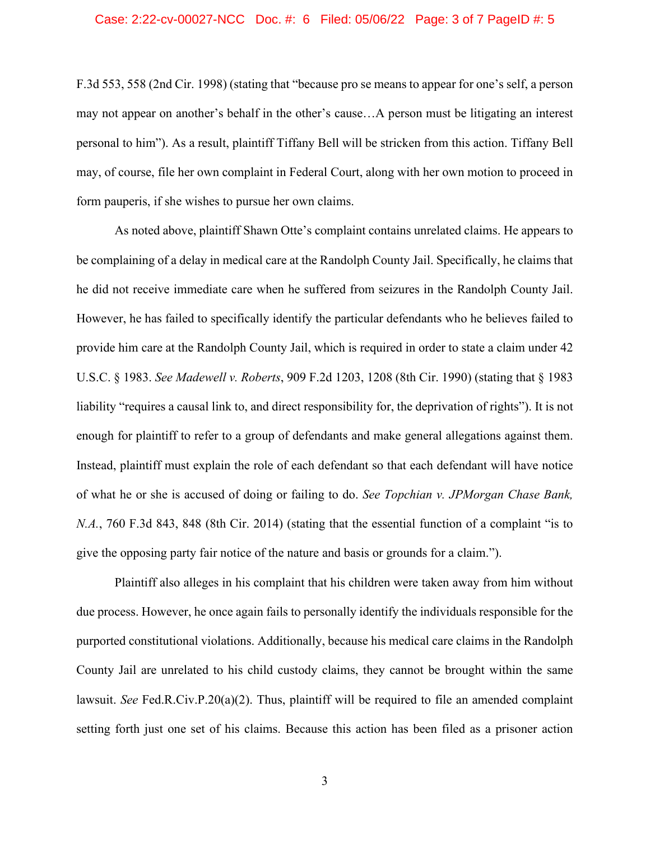#### Case: 2:22-cv-00027-NCC Doc. #: 6 Filed: 05/06/22 Page: 3 of 7 PageID #: 5

F.3d 553, 558 (2nd Cir. 1998) (stating that "because pro se means to appear for one's self, a person may not appear on another's behalf in the other's cause…A person must be litigating an interest personal to him"). As a result, plaintiff Tiffany Bell will be stricken from this action. Tiffany Bell may, of course, file her own complaint in Federal Court, along with her own motion to proceed in form pauperis, if she wishes to pursue her own claims.

As noted above, plaintiff Shawn Otte's complaint contains unrelated claims. He appears to be complaining of a delay in medical care at the Randolph County Jail. Specifically, he claims that he did not receive immediate care when he suffered from seizures in the Randolph County Jail. However, he has failed to specifically identify the particular defendants who he believes failed to provide him care at the Randolph County Jail, which is required in order to state a claim under 42 U.S.C. § 1983. *See Madewell v. Roberts*, 909 F.2d 1203, 1208 (8th Cir. 1990) (stating that § 1983 liability "requires a causal link to, and direct responsibility for, the deprivation of rights"). It is not enough for plaintiff to refer to a group of defendants and make general allegations against them. Instead, plaintiff must explain the role of each defendant so that each defendant will have notice of what he or she is accused of doing or failing to do. *See Topchian v. JPMorgan Chase Bank, N.A.*, 760 F.3d 843, 848 (8th Cir. 2014) (stating that the essential function of a complaint "is to give the opposing party fair notice of the nature and basis or grounds for a claim.").

Plaintiff also alleges in his complaint that his children were taken away from him without due process. However, he once again fails to personally identify the individuals responsible for the purported constitutional violations. Additionally, because his medical care claims in the Randolph County Jail are unrelated to his child custody claims, they cannot be brought within the same lawsuit. *See* Fed.R.Civ.P.20(a)(2). Thus, plaintiff will be required to file an amended complaint setting forth just one set of his claims. Because this action has been filed as a prisoner action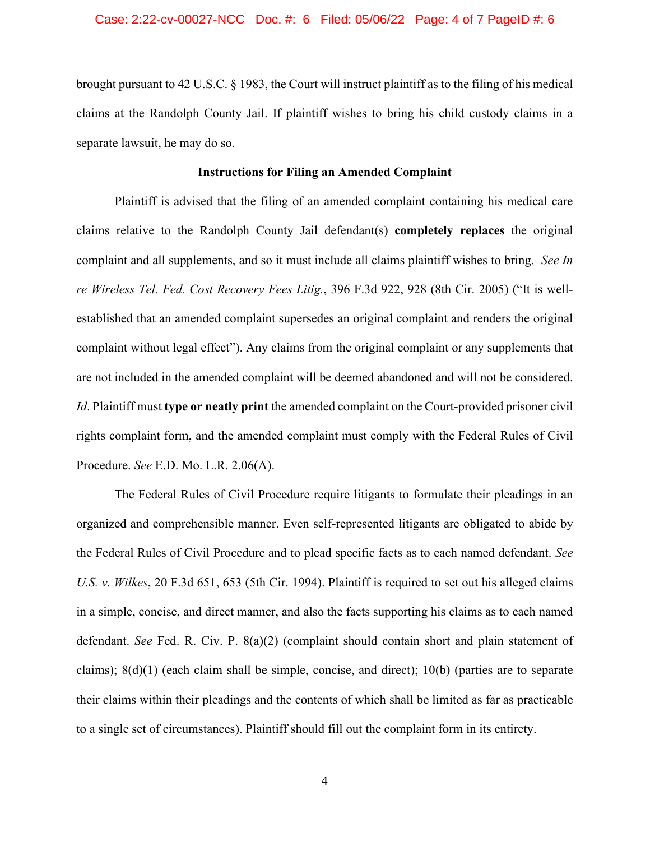brought pursuant to 42 U.S.C. § 1983, the Court will instruct plaintiff as to the filing of his medical claims at the Randolph County Jail. If plaintiff wishes to bring his child custody claims in a separate lawsuit, he may do so.

### **Instructions for Filing an Amended Complaint**

Plaintiff is advised that the filing of an amended complaint containing his medical care claims relative to the Randolph County Jail defendant(s) **completely replaces** the original complaint and all supplements, and so it must include all claims plaintiff wishes to bring. *See In re Wireless Tel. Fed. Cost Recovery Fees Litig.*, 396 F.3d 922, 928 (8th Cir. 2005) ("It is wellestablished that an amended complaint supersedes an original complaint and renders the original complaint without legal effect"). Any claims from the original complaint or any supplements that are not included in the amended complaint will be deemed abandoned and will not be considered. *Id*. Plaintiff must **type or neatly print** the amended complaint on the Court-provided prisoner civil rights complaint form, and the amended complaint must comply with the Federal Rules of Civil Procedure. *See* E.D. Mo. L.R. 2.06(A).

The Federal Rules of Civil Procedure require litigants to formulate their pleadings in an organized and comprehensible manner. Even self-represented litigants are obligated to abide by the Federal Rules of Civil Procedure and to plead specific facts as to each named defendant. *See U.S. v. Wilkes*, 20 F.3d 651, 653 (5th Cir. 1994). Plaintiff is required to set out his alleged claims in a simple, concise, and direct manner, and also the facts supporting his claims as to each named defendant. *See* Fed. R. Civ. P. 8(a)(2) (complaint should contain short and plain statement of claims);  $8(d)(1)$  (each claim shall be simple, concise, and direct);  $10(b)$  (parties are to separate their claims within their pleadings and the contents of which shall be limited as far as practicable to a single set of circumstances). Plaintiff should fill out the complaint form in its entirety.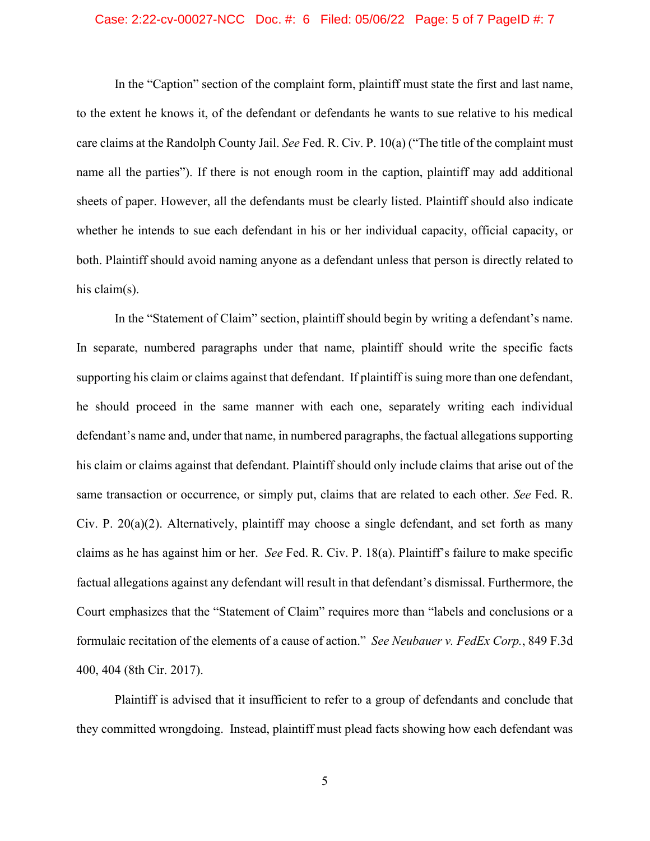#### Case: 2:22-cv-00027-NCC Doc. #: 6 Filed: 05/06/22 Page: 5 of 7 PageID #: 7

In the "Caption" section of the complaint form, plaintiff must state the first and last name, to the extent he knows it, of the defendant or defendants he wants to sue relative to his medical care claims at the Randolph County Jail. *See* Fed. R. Civ. P. 10(a) ("The title of the complaint must name all the parties"). If there is not enough room in the caption, plaintiff may add additional sheets of paper. However, all the defendants must be clearly listed. Plaintiff should also indicate whether he intends to sue each defendant in his or her individual capacity, official capacity, or both. Plaintiff should avoid naming anyone as a defendant unless that person is directly related to his claim(s).

In the "Statement of Claim" section, plaintiff should begin by writing a defendant's name. In separate, numbered paragraphs under that name, plaintiff should write the specific facts supporting his claim or claims against that defendant. If plaintiff is suing more than one defendant, he should proceed in the same manner with each one, separately writing each individual defendant's name and, under that name, in numbered paragraphs, the factual allegations supporting his claim or claims against that defendant. Plaintiff should only include claims that arise out of the same transaction or occurrence, or simply put, claims that are related to each other. *See* Fed. R. Civ. P.  $20(a)(2)$ . Alternatively, plaintiff may choose a single defendant, and set forth as many claims as he has against him or her. *See* Fed. R. Civ. P. 18(a). Plaintiff's failure to make specific factual allegations against any defendant will result in that defendant's dismissal. Furthermore, the Court emphasizes that the "Statement of Claim" requires more than "labels and conclusions or a formulaic recitation of the elements of a cause of action." *See Neubauer v. FedEx Corp.*, 849 F.3d 400, 404 (8th Cir. 2017).

Plaintiff is advised that it insufficient to refer to a group of defendants and conclude that they committed wrongdoing. Instead, plaintiff must plead facts showing how each defendant was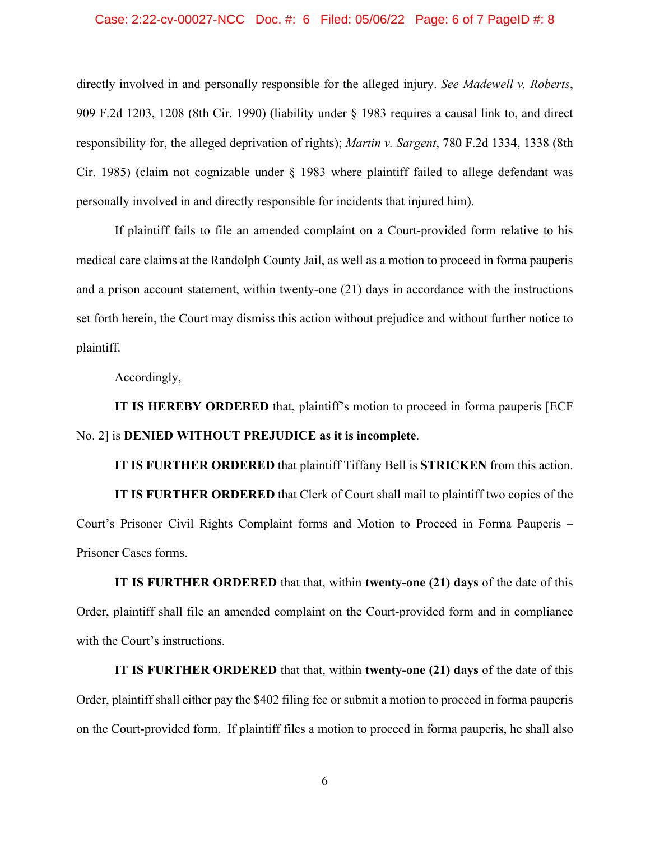#### Case: 2:22-cv-00027-NCC Doc. #: 6 Filed: 05/06/22 Page: 6 of 7 PageID #: 8

directly involved in and personally responsible for the alleged injury. *See Madewell v. Roberts*, 909 F.2d 1203, 1208 (8th Cir. 1990) (liability under § 1983 requires a causal link to, and direct responsibility for, the alleged deprivation of rights); *Martin v. Sargent*, 780 F.2d 1334, 1338 (8th Cir. 1985) (claim not cognizable under § 1983 where plaintiff failed to allege defendant was personally involved in and directly responsible for incidents that injured him).

If plaintiff fails to file an amended complaint on a Court-provided form relative to his medical care claims at the Randolph County Jail, as well as a motion to proceed in forma pauperis and a prison account statement, within twenty-one (21) days in accordance with the instructions set forth herein, the Court may dismiss this action without prejudice and without further notice to plaintiff.

Accordingly,

**IT IS HEREBY ORDERED** that, plaintiff's motion to proceed in forma pauperis [ECF No. 2] is **DENIED WITHOUT PREJUDICE as it is incomplete**.

**IT IS FURTHER ORDERED** that plaintiff Tiffany Bell is **STRICKEN** from this action.

**IT IS FURTHER ORDERED** that Clerk of Court shall mail to plaintiff two copies of the Court's Prisoner Civil Rights Complaint forms and Motion to Proceed in Forma Pauperis – Prisoner Cases forms.

**IT IS FURTHER ORDERED** that that, within **twenty-one (21) days** of the date of this Order, plaintiff shall file an amended complaint on the Court-provided form and in compliance with the Court's instructions.

**IT IS FURTHER ORDERED** that that, within **twenty-one (21) days** of the date of this Order, plaintiff shall either pay the \$402 filing fee or submit a motion to proceed in forma pauperis on the Court-provided form. If plaintiff files a motion to proceed in forma pauperis, he shall also